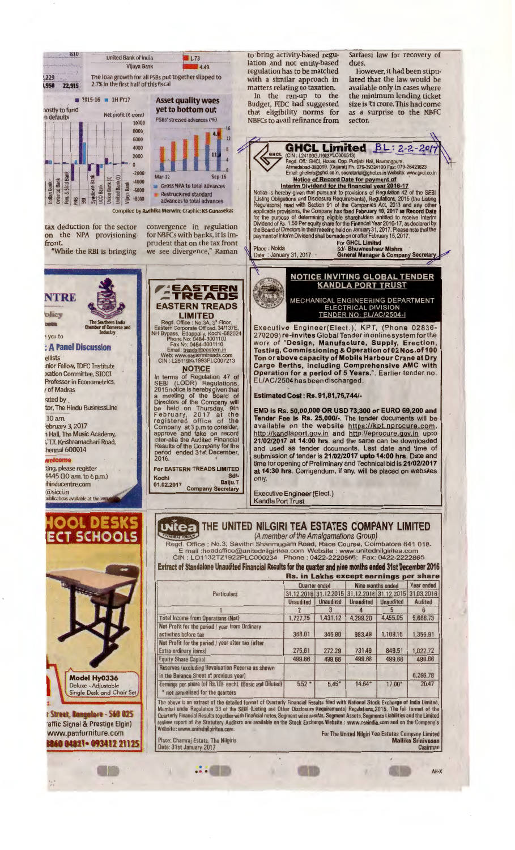

The above is an extract of the detailed format of Quarterly Financial Results filed with National Stock Exchange of India Limited,<br>Numbai under Regulation 33 of the SEBI (Listing and Other Disclosure Requirements) Regulati

·=·•• •• • AH-X

Website: www.unitednilgiritea.com. For The United Nilgiri Tea Estates Company Limited Place: Chamraj Estate, The Nilgiris Mallika Srinivasan (Place: 2017)<br>Date: 31st January 2017 Chairman (Place: 31st January 2017)

r **Street, Rongolore - S6G 025**<br><sup>•</sup>affic Signal & Prestige Elgin) www.panfurniture.com .. tagaparte 140 093412 21125

••